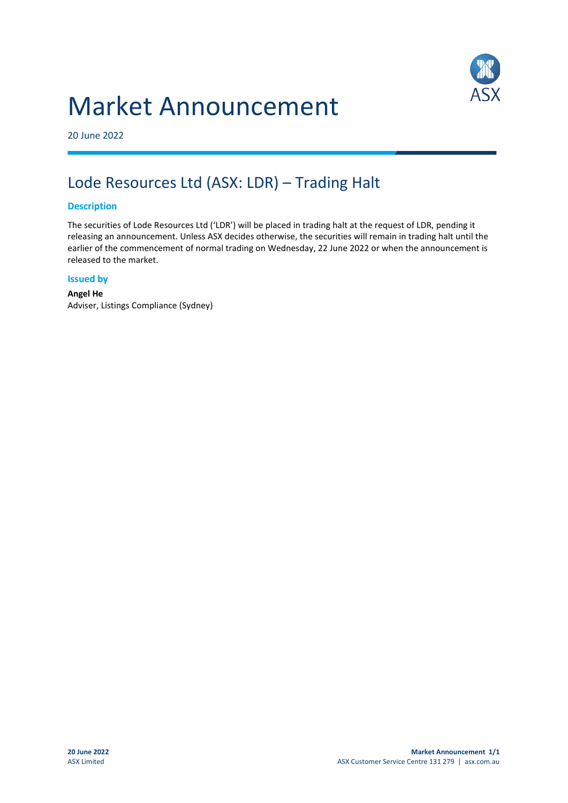## Market Announcement



20 June 2022

## Lode Resources Ltd (ASX: LDR) – Trading Halt

## **Description**

The securities of Lode Resources Ltd ('LDR') will be placed in trading halt at the request of LDR, pending it releasing an announcement. Unless ASX decides otherwise, the securities will remain in trading halt until the earlier of the commencement of normal trading on Wednesday, 22 June 2022 or when the announcement is released to the market.

## **Issued by**

**Angel He** Adviser, Listings Compliance (Sydney)